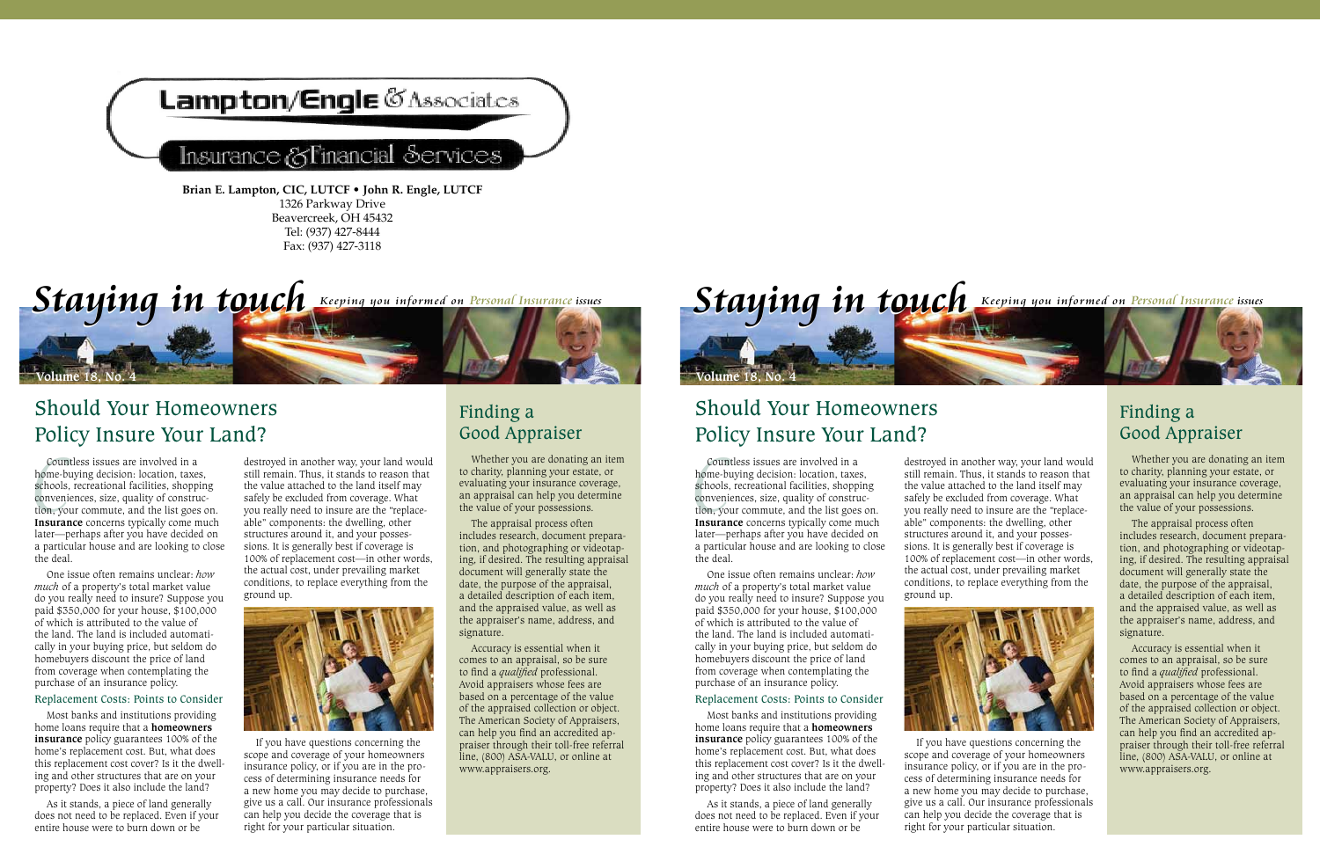

#### Financial Services lnsurance (&

**Brian E. Lampton, CIC, LUTCF • John R. Engle, LUTCF** 1326 Parkway Drive Beavercreek, OH 45432 Tel: (937) 427-8444 Fax: (937) 427-3118



## Should Your Homeowners Policy Insure Your Land?

Cour<br>home-b<br>schools<br>conven<br>tion, yo Countless issues are involved in a home-buying decision: location, taxes, schools, recreational facilities, shopping conveniences, size, quality of construction, your commute, and the list goes on. **Insurance** concerns typically come much later—perhaps after you have decided on a particular house and are looking to close the deal.

One issue often remains unclear: *how much* of a property's total market value do you really need to insure? Suppose you paid \$350,000 for your house, \$100,000 of which is attributed to the value of the land. The land is included automatically in your buying price, but seldom do homebuyers discount the price of land from coverage when contemplating the purchase of an insurance policy.

#### Replacement Costs: Points to Consider

Most banks and institutions providing home loans require that a **homeowners insurance** policy guarantees 100% of the home's replacement cost. But, what does this replacement cost cover? Is it the dwelling and other structures that are on your property? Does it also include the land?

As it stands, a piece of land generally does not need to be replaced. Even if your entire house were to burn down or be

destroyed in another way, your land would still remain. Thus, it stands to reason that the value attached to the land itself may safely be excluded from coverage. What you really need to insure are the "replaceable" components: the dwelling, other structures around it, and your possessions. It is generally best if coverage is 100% of replacement cost—in other words, the actual cost, under prevailing market conditions, to replace everything from the ground up.



If you have questions concerning the scope and coverage of your homeowners insurance policy, or if you are in the process of determining insurance needs for a new home you may decide to purchase, give us a call. Our insurance professionals can help you decide the coverage that is right for your particular situation.

## Finding a Good Appraiser

Whether you are donating an item to charity, planning your estate, or evaluating your insurance coverage, an appraisal can help you determine the value of your possessions.

The appraisal process often includes research, document preparation, and photographing or videotaping, if desired. The resulting appraisal document will generally state the date, the purpose of the appraisal, a detailed description of each item, and the appraised value, as well as the appraiser's name, address, and signature.

Accuracy is essential when it comes to an appraisal, so be sure to find a *qualified* professional. Avoid appraisers whose fees are based on a percentage of the value of the appraised collection or object. The American Society of Appraisers, can help you find an accredited appraiser through their toll-free referral line, (800) ASA-VALU, or online at www.appraisers.org.